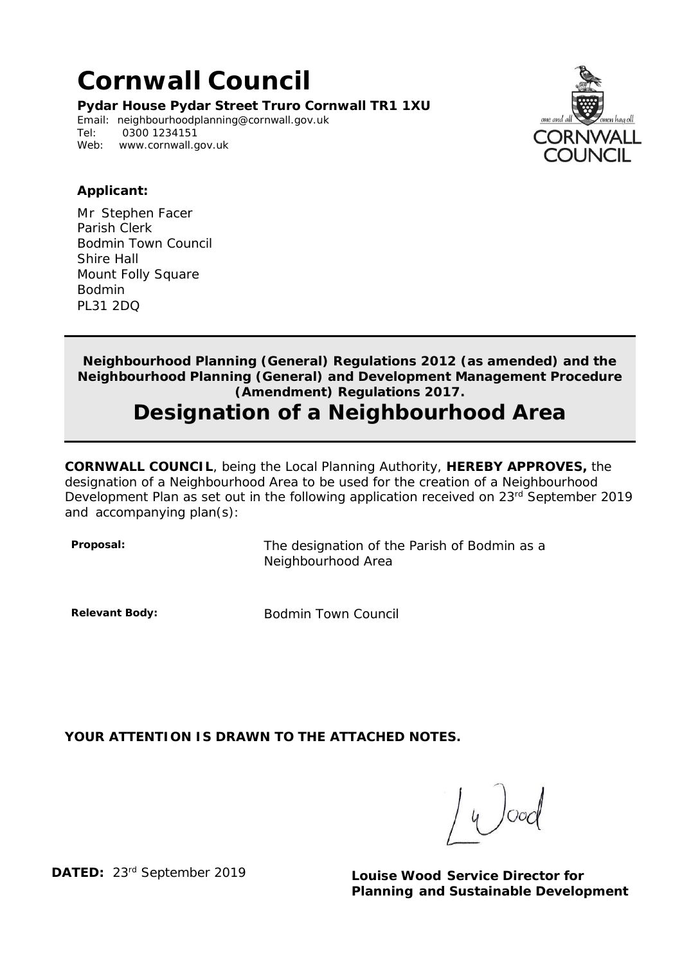## **Cornwall Council**

**Pydar House Pydar Street Truro Cornwall TR1 1XU**

Email: [neighbourhoodplanning@cornwall.gov.uk](mailto:neighbourhoodplanning@cornwall.gov.uk)<br>Tel: 0300 1234151 0300 1234151 Web: [www.cornwall.gov.uk](http://www.cornwall.gov.uk/)



## **Applicant:**

Mr Stephen Facer Parish Clerk Bodmin Town Council Shire Hall Mount Folly Square Bodmin PL31 2DQ

**Neighbourhood Planning (General) Regulations 2012 (as amended) and the Neighbourhood Planning (General) and Development Management Procedure (Amendment) Regulations 2017.**

## **Designation of a Neighbourhood Area**

**CORNWALL COUNCIL**, being the Local Planning Authority, **HEREBY APPROVES,** the designation of a Neighbourhood Area to be used for the creation of a Neighbourhood Development Plan as set out in the following application received on 23<sup>rd</sup> September 2019 and accompanying plan(s):

**Proposal:** The designation of the Parish of Bodmin as a Neighbourhood Area

**Relevant Body:** Bodmin Town Council

**YOUR ATTENTION IS DRAWN TO THE ATTACHED NOTES.**

 $4\int$ ooc

**DATED:** 23rd September 2019 **Louise Wood Service Director for Planning and Sustainable Development**